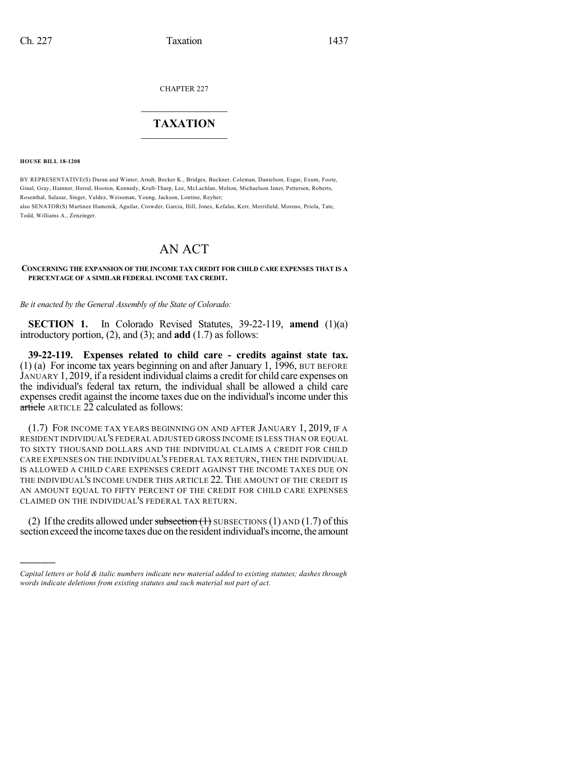CHAPTER 227

## $\mathcal{L}_\text{max}$  . The set of the set of the set of the set of the set of the set of the set of the set of the set of the set of the set of the set of the set of the set of the set of the set of the set of the set of the set **TAXATION**  $\_$

**HOUSE BILL 18-1208**

)))))

BY REPRESENTATIVE(S) Duran and Winter, Arndt, Becker K., Bridges, Buckner, Coleman, Danielson, Esgar, Exum, Foote, Ginal, Gray, Hamner, Herod, Hooton, Kennedy, Kraft-Tharp, Lee, McLachlan, Melton, Michaelson Jenet, Pettersen, Roberts, Rosenthal, Salazar, Singer, Valdez, Weissman, Young, Jackson, Lontine, Reyher;

also SENATOR(S) Martinez Humenik, Aguilar, Crowder, Garcia, Hill, Jones, Kefalas, Kerr, Merrifield, Moreno, Priola, Tate, Todd, Williams A., Zenzinger.

## AN ACT

**CONCERNING THE EXPANSION OF THE INCOME TAX CREDIT FOR CHILD CARE EXPENSES THAT IS A PERCENTAGE OF A SIMILAR FEDERAL INCOME TAX CREDIT.**

*Be it enacted by the General Assembly of the State of Colorado:*

**SECTION 1.** In Colorado Revised Statutes, 39-22-119, **amend** (1)(a) introductory portion, (2), and (3); and **add** (1.7) as follows:

**39-22-119. Expenses related to child care - credits against state tax.** (1) (a) For income tax years beginning on and after January 1, 1996, BUT BEFORE JANUARY 1, 2019, if a resident individual claims a credit for child care expenses on the individual's federal tax return, the individual shall be allowed a child care expenses credit against the income taxes due on the individual's income under this  $\frac{ar\ddot{\text{t}}\text{ic\text{le}}}{ar\ddot{\text{c}}}$  ARTICLE 22 calculated as follows:

(1.7) FOR INCOME TAX YEARS BEGINNING ON AND AFTER JANUARY 1, 2019, IF A RESIDENT INDIVIDUAL'S FEDERAL ADJUSTED GROSS INCOME IS LESS THAN OR EQUAL TO SIXTY THOUSAND DOLLARS AND THE INDIVIDUAL CLAIMS A CREDIT FOR CHILD CARE EXPENSES ON THE INDIVIDUAL'S FEDERAL TAX RETURN, THEN THE INDIVIDUAL IS ALLOWED A CHILD CARE EXPENSES CREDIT AGAINST THE INCOME TAXES DUE ON THE INDIVIDUAL'S INCOME UNDER THIS ARTICLE 22. THE AMOUNT OF THE CREDIT IS AN AMOUNT EQUAL TO FIFTY PERCENT OF THE CREDIT FOR CHILD CARE EXPENSES CLAIMED ON THE INDIVIDUAL'S FEDERAL TAX RETURN.

(2) If the credits allowed under subsection  $(1)$  SUBSECTIONS  $(1)$  AND  $(1.7)$  of this section exceed the income taxes due on the residentindividual'sincome, the amount

*Capital letters or bold & italic numbers indicate new material added to existing statutes; dashes through words indicate deletions from existing statutes and such material not part of act.*